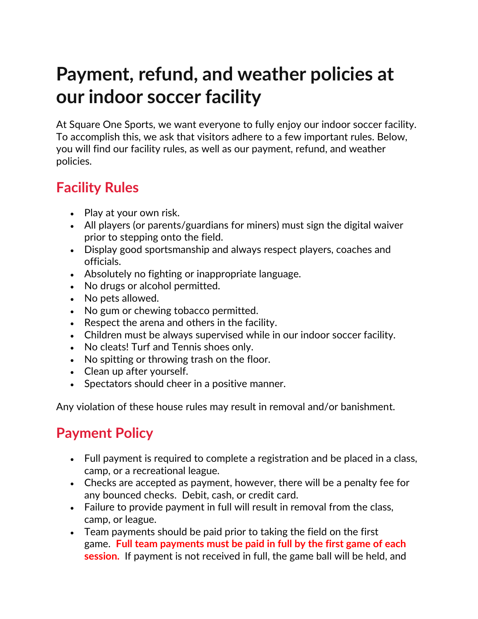# **Payment, refund, and weather policies at our indoor soccer facility**

At Square One Sports, we want everyone to fully enjoy our indoor soccer facility. To accomplish this, we ask that visitors adhere to a few important rules. Below, you will find our facility rules, as well as our payment, refund, and weather policies.

# **Facility Rules**

- Play at your own risk.
- All players (or parents/guardians for miners) must sign the digital waiver prior to stepping onto the field.
- Display good sportsmanship and always respect players, coaches and officials.
- Absolutely no fighting or inappropriate language.
- No drugs or alcohol permitted.
- No pets allowed.
- No gum or chewing tobacco permitted.
- Respect the arena and others in the facility.
- Children must be always supervised while in our indoor soccer facility.
- No cleats! Turf and Tennis shoes only.
- No spitting or throwing trash on the floor.
- Clean up after yourself.
- Spectators should cheer in a positive manner.

Any violation of these house rules may result in removal and/or banishment.

# **Payment Policy**

- Full payment is required to complete a registration and be placed in a class, camp, or a recreational league.
- Checks are accepted as payment, however, there will be a penalty fee for any bounced checks. Debit, cash, or credit card.
- Failure to provide payment in full will result in removal from the class, camp, or league.
- Team payments should be paid prior to taking the field on the first game. **Full team payments must be paid in full by the first game of each session.** If payment is not received in full, the game ball will be held, and